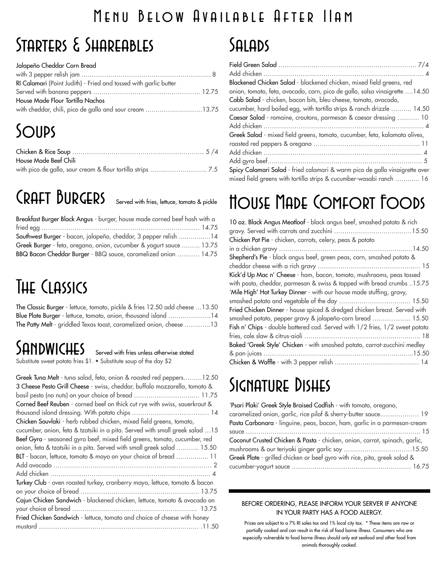### Menu Below Available After 11am

### Starters & Shareables

### Jalapeño Cheddar Corn Bread

| RI Calamari (Point Judith) - Fried and tossed with garlic butter |  |
|------------------------------------------------------------------|--|
|                                                                  |  |
| House Made Flour Tortilla Nachos                                 |  |
| with cheddar, chili, pico de gallo and sour cream 13.75          |  |

# **SOUPS**

| House Made Beef Chili |  |
|-----------------------|--|
|                       |  |

# CRAFT BURGERS Served with fries, lettuce, tomato & pickle

| Breakfast Burger Black Angus - burger, house made corned beef hash with a |  |
|---------------------------------------------------------------------------|--|
|                                                                           |  |
| Southwest Burger - bacon, jalapeño, cheddar, 3 pepper relish 14           |  |
| Greek Burger - feta, oregano, onion, cucumber & yogurt sauce  13.75       |  |
| BBQ Bacon Cheddar Burger - BBQ sauce, caramelized onion  14.75            |  |

# The Classics

The Classic Burger - lettuce, tomato, pickle & fries 12.50 add cheese …13.50 Blue Plate Burger - lettuce, tomato, onion, thousand island ……………..….14 The Patty Melt - griddled Texas toast, caramelized onion, cheese ……..…..13

### SANDWICHES Served with fries unless otherwise stated

Substitute sweet potato fries \$1. • Substitute soup of the day \$2

| Greek Tuna Melt - tuna salad, feta, onion & roasted red peppers12.50<br>3 Cheese Pesto Grill Cheese - swiss, cheddar, buffalo mozzarella, tomato & |
|----------------------------------------------------------------------------------------------------------------------------------------------------|
| basil pesto (no nuts) on your choice of bread  11.75                                                                                               |
| Corned Beef Reuben - corned beef on thick cut rye with swiss, sauerkraut &                                                                         |
|                                                                                                                                                    |
| Chicken Souvlaki - herb rubbed chicken, mixed field greens, tomato,                                                                                |
| cucumber, onion, feta & tzatsiki in a pita. Served with small greek salad  15                                                                      |
| Beef Gyro - seasoned gyro beef, mixed field greens, tomato, cucumber, red                                                                          |
| onion, feta & tzatsiki in a pita. Served with small greek salad  15.50                                                                             |
| BLT - bacon, lettuce, tomato & mayo on your choice of bread  11                                                                                    |
|                                                                                                                                                    |
|                                                                                                                                                    |
| Turkey Club - oven roasted turkey, cranberry mayo, lettuce, tomato & bacon                                                                         |
|                                                                                                                                                    |
| Cajun Chicken Sandwich - blackened chicken, lettuce, tomato & avocado on                                                                           |
|                                                                                                                                                    |
| Fried Chicken Sandwich - lettuce, tomato and choice of cheese with honey                                                                           |
|                                                                                                                                                    |
|                                                                                                                                                    |

### Salads

| Blackened Chicken Salad - blackened chicken, mixed field greens, red        |
|-----------------------------------------------------------------------------|
| onion, tomato, feta, avocado, corn, pico de gallo, salsa vinaigrette 14.50  |
| Cobb Salad - chicken, bacon bits, bleu cheese, tomato, avocado,             |
| cucumber, hard boiled egg, with tortilla strips & ranch drizzle  14.50      |
| Caesar Salad - romaine, croutons, parmesan & caesar dressing  10            |
|                                                                             |
| Greek Salad - mixed field greens, tomato, cucumber, feta, kalamata olives,  |
|                                                                             |
|                                                                             |
|                                                                             |
| Spicy Calamari Salad - fried calamari & warm pico de gallo vinaigrette over |
| mixed field greens with tortilla strips & cucumber-wasabi ranch  16         |

### House Made Comfort Foods

| 10 oz. Black Angus Meatloaf - black angus beef, smashed potato & rich        |
|------------------------------------------------------------------------------|
|                                                                              |
| Chicken Pot Pie - chicken, carrots, celery, peas & potato                    |
|                                                                              |
| Shepherd's Pie - black angus beef, green peas, corn, smashed potato &        |
|                                                                              |
| Kick'd Up Mac n' Cheese - ham, bacon, tomato, mushrooms, peas tossed         |
| with pasta, cheddar, parmesan & swiss & topped with bread crumbs 15.75       |
| 'Mile High' Hot Turkey Dinner - with our house made stuffing, gravy,         |
|                                                                              |
| Fried Chicken Dinner - house spiced & dredged chicken breast. Served with    |
| smashed potato, pepper gravy & jalapeño-corn bread  15.50                    |
| Fish n' Chips - double battered cod. Served with 1/2 fries, 1/2 sweet potato |
|                                                                              |
| Baked 'Greek Style' Chicken - with smashed potato, carrot-zucchini medley    |
|                                                                              |
|                                                                              |

### SIGNATURE DISHES

| 'Psari Plaki' Greek Style Braised Codfish - with tomato, oregano,          |
|----------------------------------------------------------------------------|
| caramelized onion, garlic, rice pilaf & sherry-butter sauce 19             |
| Pasta Carbonara - linguine, peas, bacon, ham, garlic in a parmesan-cream   |
| squce ……………………………………………………………………………… 15                                    |
| Coconut Crusted Chicken & Pasta - chicken, onion, carrot, spinach, garlic, |
|                                                                            |
| Greek Plate - grilled chicken or beef gyro with rice, pita, greek salad &  |
|                                                                            |

### BEFORE ORDERING, PLEASE INFORM YOUR SERVER IF ANYONE IN YOUR PARTY HAS A FOOD ALERGY.

Prices are subject to a 7% RI sales tax and 1% local city tax. \* These items are raw or partially cooked and can result in the risk of food borne illness. Consumers who are especially vulnerable to food borne illness should only eat seafood and other food from animals thoroughly cooked.